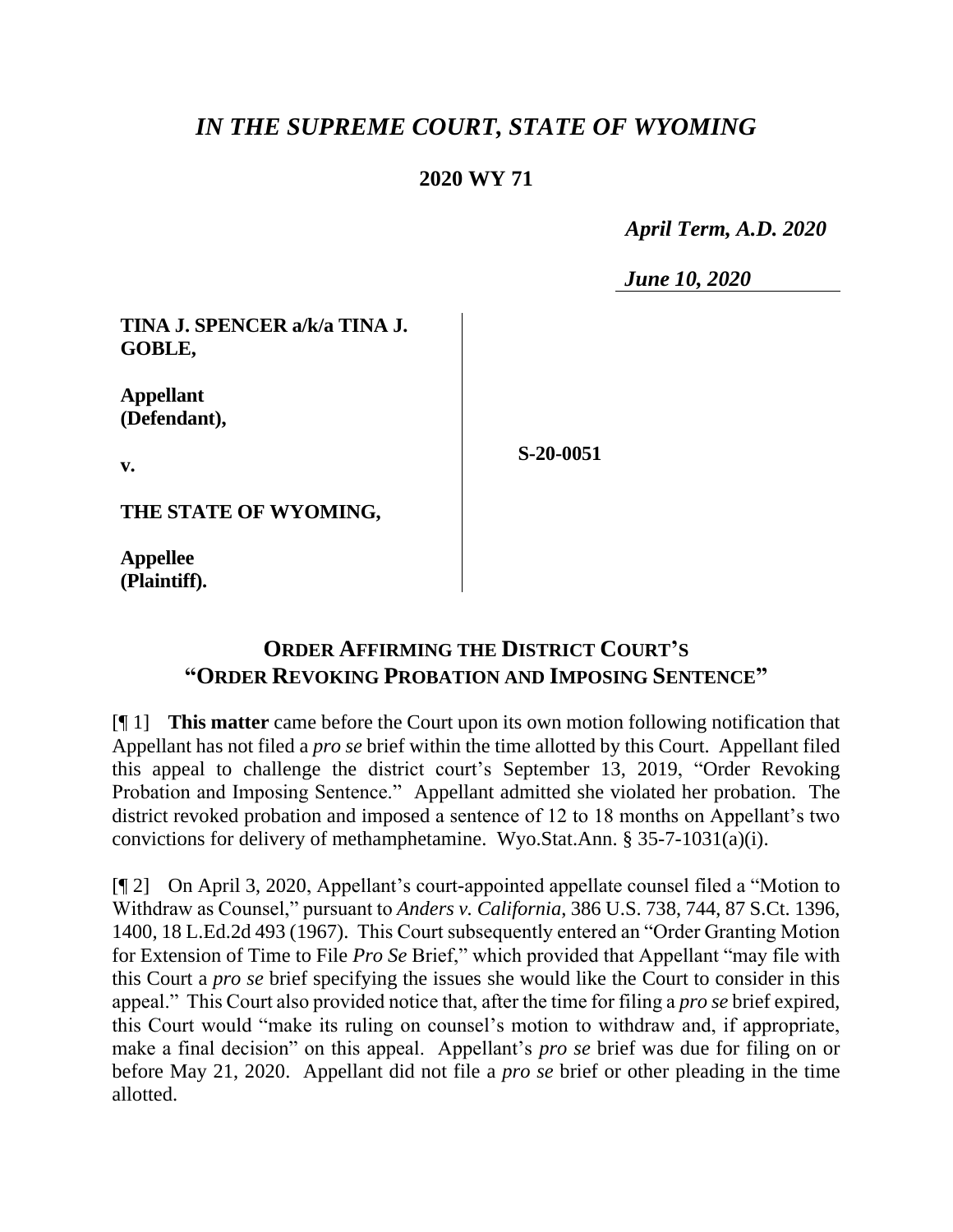## *IN THE SUPREME COURT, STATE OF WYOMING*

## **2020 WY 71**

 *April Term, A.D. 2020*

*June 10, 2020*

**TINA J. SPENCER a/k/a TINA J. GOBLE,**

**Appellant (Defendant),**

**v.**

**S-20-0051**

**THE STATE OF WYOMING,**

**Appellee (Plaintiff).**

## **ORDER AFFIRMING THE DISTRICT COURT'S "ORDER REVOKING PROBATION AND IMPOSING SENTENCE"**

[¶ 1] **This matter** came before the Court upon its own motion following notification that Appellant has not filed a *pro se* brief within the time allotted by this Court. Appellant filed this appeal to challenge the district court's September 13, 2019, "Order Revoking Probation and Imposing Sentence." Appellant admitted she violated her probation. The district revoked probation and imposed a sentence of 12 to 18 months on Appellant's two convictions for delivery of methamphetamine. Wyo.Stat.Ann. § 35-7-1031(a)(i).

[¶ 2] On April 3, 2020, Appellant's court-appointed appellate counsel filed a "Motion to Withdraw as Counsel," pursuant to *Anders v. California*, 386 U.S. 738, 744, 87 S.Ct. 1396, 1400, 18 L.Ed.2d 493 (1967). This Court subsequently entered an "Order Granting Motion for Extension of Time to File *Pro Se* Brief," which provided that Appellant "may file with this Court a *pro se* brief specifying the issues she would like the Court to consider in this appeal." This Court also provided notice that, after the time for filing a *pro se* brief expired, this Court would "make its ruling on counsel's motion to withdraw and, if appropriate, make a final decision" on this appeal. Appellant's *pro se* brief was due for filing on or before May 21, 2020. Appellant did not file a *pro se* brief or other pleading in the time allotted.